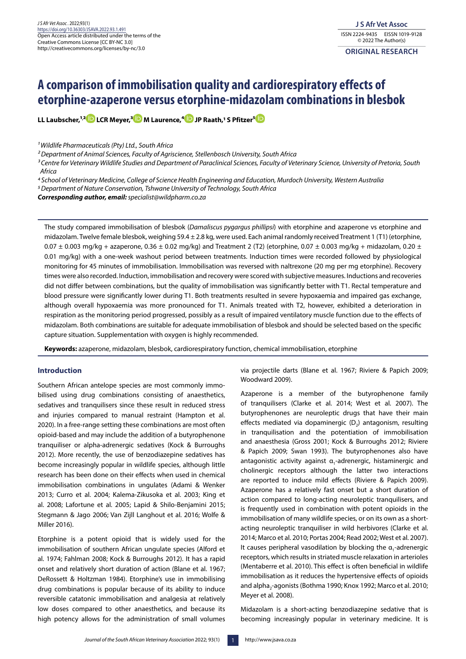# **A comparison of immobilisation quality and cardiorespiratory effects of etorphine-azaperone versus etorphine-midazolam combinations in blesbok**

**LL Laubscher,1, [2](https://orcid.org/0000-0002-5982-2653) LCR Meyer,[3 M](https://orcid.org/0000-0002-5122-2469) Laurence,[⁴ J](https://orcid.org/0000-0003-1215-2848)P Raath,1 S Pfitzer[⁵](https://orcid.org/0000-0001-8119-3999)**

*1 Wildlife Pharmaceuticals (Pty) Ltd., South Africa*

*2 Department of Animal Sciences, Faculty of Agriscience, Stellenbosch University, South Africa*

*3 Centre for Veterinary Wildlife Studies and Department of Paraclinical Sciences, Faculty of Veterinary Science, University of Pretoria, South Africa*

*4 School of Veterinary Medicine, College of Science Health Engineering and Education, Murdoch University, Western Australia*

*5 Department of Nature Conservation, Tshwane University of Technology, South Africa*

*Corresponding author, email: specialist@wildpharm.co.za*

The study compared immobilisation of blesbok (*Damaliscus pygargus phillipsi*) with etorphine and azaperone vs etorphine and midazolam. Twelve female blesbok, weighing 59.4 ± 2.8 kg, were used. Each animal randomly received Treatment 1 (T1) (etorphine,  $0.07 \pm 0.003$  mg/kg + azaperone,  $0.36 \pm 0.02$  mg/kg) and Treatment 2 (T2) (etorphine,  $0.07 \pm 0.003$  mg/kg + midazolam,  $0.20 \pm 0.003$ 0.01 mg/kg) with a one-week washout period between treatments. Induction times were recorded followed by physiological monitoring for 45 minutes of immobilisation. Immobilisation was reversed with naltrexone (20 mg per mg etorphine). Recovery times were also recorded. Induction, immobilisation and recovery were scored with subjective measures. Inductions and recoveries did not differ between combinations, but the quality of immobilisation was significantly better with T1. Rectal temperature and blood pressure were significantly lower during T1. Both treatments resulted in severe hypoxaemia and impaired gas exchange, although overall hypoxaemia was more pronounced for T1. Animals treated with T2, however, exhibited a deterioration in respiration as the monitoring period progressed, possibly as a result of impaired ventilatory muscle function due to the effects of midazolam. Both combinations are suitable for adequate immobilisation of blesbok and should be selected based on the specific capture situation. Supplementation with oxygen is highly recommended.

**Keywords:** azaperone, midazolam, blesbok, cardiorespiratory function, chemical immobilisation, etorphine

## **Introduction**

Southern African antelope species are most commonly immobilised using drug combinations consisting of anaesthetics, sedatives and tranquilisers since these result in reduced stress and injuries compared to manual restraint (Hampton et al. 2020). In a free-range setting these combinations are most often opioid-based and may include the addition of a butyrophenone tranquiliser or alpha-adrenergic sedatives (Kock & Burroughs 2012). More recently, the use of benzodiazepine sedatives has become increasingly popular in wildlife species, although little research has been done on their effects when used in chemical immobilisation combinations in ungulates (Adami & Wenker 2013; Curro et al. 2004; Kalema-Zikusoka et al. 2003; King et al. 2008; Lafortune et al. 2005; Lapid & Shilo-Benjamini 2015; Stegmann & Jago 2006; Van Zijll Langhout et al. 2016; Wolfe & Miller 2016).

Etorphine is a potent opioid that is widely used for the immobilisation of southern African ungulate species (Alford et al. 1974; Fahlman 2008; Kock & Burroughs 2012). It has a rapid onset and relatively short duration of action (Blane et al. 1967; DeRossett & Holtzman 1984). Etorphine's use in immobilising drug combinations is popular because of its ability to induce reversible catatonic immobilisation and analgesia at relatively low doses compared to other anaesthetics, and because its high potency allows for the administration of small volumes via projectile darts (Blane et al. 1967; Riviere & Papich 2009; Woodward 2009).

Azaperone is a member of the butyrophenone family of tranquilisers (Clarke et al. 2014; West et al. 2007). The butyrophenones are neuroleptic drugs that have their main effects mediated via dopaminergic  $(D_2)$  antagonism, resulting in tranquilisation and the potentiation of immobilisation and anaesthesia (Gross 2001; Kock & Burroughs 2012; Riviere & Papich 2009; Swan 1993). The butyrophenones also have antagonistic activity against  $\alpha_1$ -adrenergic, histaminergic and cholinergic receptors although the latter two interactions are reported to induce mild effects (Riviere & Papich 2009). Azaperone has a relatively fast onset but a short duration of action compared to long-acting neuroleptic tranquilisers, and is frequently used in combination with potent opioids in the immobilisation of many wildlife species, or on its own as a shortacting neuroleptic tranquiliser in wild herbivores (Clarke et al. 2014; Marco et al. 2010; Portas 2004; Read 2002; West et al. 2007). It causes peripheral vasodilation by blocking the  $\alpha_1$ -adrenergic receptors, which results in striated muscle relaxation in arterioles (Mentaberre et al. 2010). This effect is often beneficial in wildlife immobilisation as it reduces the hypertensive effects of opioids and alpha<sub>2</sub>-agonists (Bothma 1990; Knox 1992; Marco et al. 2010; Meyer et al. 2008).

Midazolam is a short-acting benzodiazepine sedative that is becoming increasingly popular in veterinary medicine. It is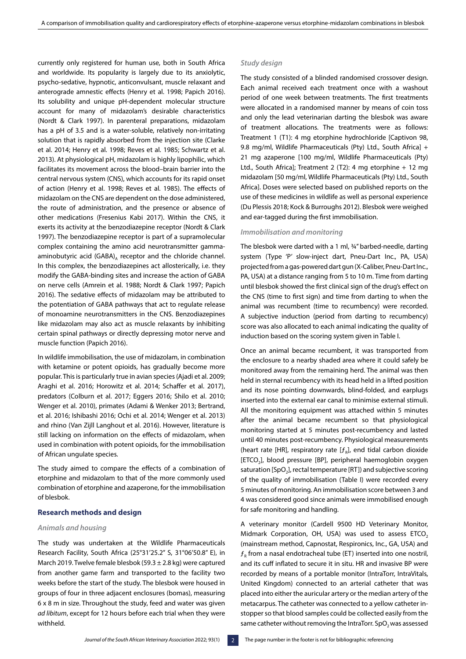currently only registered for human use, both in South Africa and worldwide. Its popularity is largely due to its anxiolytic, psycho-sedative, hypnotic, anticonvulsant, muscle relaxant and anterograde amnestic effects (Henry et al. 1998; Papich 2016). Its solubility and unique pH-dependent molecular structure account for many of midazolam's desirable characteristics (Nordt & Clark 1997). In parenteral preparations, midazolam has a pH of 3.5 and is a water-soluble, relatively non-irritating solution that is rapidly absorbed from the injection site (Clarke et al. 2014; Henry et al. 1998; Reves et al. 1985; Schwartz et al. 2013). At physiological pH, midazolam is highly lipophilic, which facilitates its movement across the blood–brain barrier into the central nervous system (CNS), which accounts for its rapid onset of action (Henry et al. 1998; Reves et al. 1985). The effects of midazolam on the CNS are dependent on the dose administered, the route of administration, and the presence or absence of other medications (Fresenius Kabi 2017). Within the CNS, it exerts its activity at the benzodiazepine receptor (Nordt & Clark 1997). The benzodiazepine receptor is part of a supramolecular complex containing the amino acid neurotransmitter gammaaminobutyric acid  $(GABA)_A$  receptor and the chloride channel. In this complex, the benzodiazepines act allosterically, i.e. they modify the GABA-binding sites and increase the action of GABA on nerve cells (Amrein et al. 1988; Nordt & Clark 1997; Papich 2016). The sedative effects of midazolam may be attributed to the potentiation of GABA pathways that act to regulate release of monoamine neurotransmitters in the CNS. Benzodiazepines like midazolam may also act as muscle relaxants by inhibiting certain spinal pathways or directly depressing motor nerve and muscle function (Papich 2016).

In wildlife immobilisation, the use of midazolam, in combination with ketamine or potent opioids, has gradually become more popular. This is particularly true in avian species (Ajadi et al. 2009; Araghi et al. 2016; Horowitz et al. 2014; Schaffer et al. 2017), predators (Colburn et al. 2017; Eggers 2016; Shilo et al. 2010; Wenger et al. 2010), primates (Adami & Wenker 2013; Bertrand, et al. 2016; Ishibashi 2016; Ochi et al. 2014; Wenger et al. 2013) and rhino (Van Zijll Langhout et al. 2016). However, literature is still lacking on information on the effects of midazolam, when used in combination with potent opioids, for the immobilisation of African ungulate species.

The study aimed to compare the effects of a combination of etorphine and midazolam to that of the more commonly used combination of etorphine and azaperone, for the immobilisation of blesbok.

#### **Research methods and design**

## *Animals and housing*

The study was undertaken at the Wildlife Pharmaceuticals Research Facility, South Africa (25°31'25.2" S, 31°06'50.8" E), in March 2019. Twelve female blesbok (59.3  $\pm$  2.8 kg) were captured from another game farm and transported to the facility two weeks before the start of the study. The blesbok were housed in groups of four in three adjacent enclosures (bomas), measuring 6 x 8 m in size. Throughout the study, feed and water was given *ad libitum*, except for 12 hours before each trial when they were withheld.

## *Study design*

The study consisted of a blinded randomised crossover design. Each animal received each treatment once with a washout period of one week between treatments. The first treatments were allocated in a randomised manner by means of coin toss and only the lead veterinarian darting the blesbok was aware of treatment allocations. The treatments were as follows: Treatment 1 (T1): 4 mg etorphine hydrochloride [Captivon 98, 9.8 mg/ml, Wildlife Pharmaceuticals (Pty) Ltd., South Africa] + 21 mg azaperone [100 mg/ml, Wildlife Pharmaceuticals (Pty) Ltd., South Africa]; Treatment 2 (T2): 4 mg etorphine + 12 mg midazolam [50 mg/ml, Wildlife Pharmaceuticals (Pty) Ltd., South Africa]. Doses were selected based on published reports on the use of these medicines in wildlife as well as personal experience (Du Plessis 2018; Kock & Burroughs 2012). Blesbok were weighed and ear-tagged during the first immobilisation.

#### *Immobilisation and monitoring*

The blesbok were darted with a 1 ml, ¾'' barbed-needle, darting system (Type 'P' slow-inject dart, Pneu-Dart Inc., PA, USA) projected from a gas-powered dart gun (X-Caliber, Pneu-Dart Inc., PA, USA) at a distance ranging from 5 to 10 m. Time from darting until blesbok showed the first clinical sign of the drug's effect on the CNS (time to first sign) and time from darting to when the animal was recumbent (time to recumbency) were recorded. A subjective induction (period from darting to recumbency) score was also allocated to each animal indicating the quality of induction based on the scoring system given in Table I.

Once an animal became recumbent, it was transported from the enclosure to a nearby shaded area where it could safely be monitored away from the remaining herd. The animal was then held in sternal recumbency with its head held in a lifted position and its nose pointing downwards, blind-folded, and earplugs inserted into the external ear canal to minimise external stimuli. All the monitoring equipment was attached within 5 minutes after the animal became recumbent so that physiological monitoring started at 5 minutes post-recumbency and lasted until 40 minutes post-recumbency. Physiological measurements (heart rate [HR], respiratory rate  $[f_{\circ}]$ , end tidal carbon dioxide [ETCO<sub>2</sub>], blood pressure [BP], peripheral haemoglobin oxygen saturation  $[SpO<sub>2</sub>]$ , rectal temperature  $[RT]$ ) and subjective scoring of the quality of immobilisation (Table I) were recorded every 5 minutes of monitoring. An immobilisation score between 3 and 4 was considered good since animals were immobilised enough for safe monitoring and handling.

A veterinary monitor (Cardell 9500 HD Veterinary Monitor, Midmark Corporation, OH, USA) was used to assess ETCO<sub>2</sub> (mainstream method, Capnostat, Respironics, Inc., GA, USA) and  $f<sub>p</sub>$  from a nasal endotracheal tube (ET) inserted into one nostril, and its cuff inflated to secure it in situ. HR and invasive BP were recorded by means of a portable monitor (IntraTorr, IntraVitals, United Kingdom) connected to an arterial catheter that was placed into either the auricular artery or the median artery of the metacarpus. The catheter was connected to a yellow catheter instopper so that blood samples could be collected easily from the same catheter without removing the IntraTorr. SpO<sub>2</sub> was assessed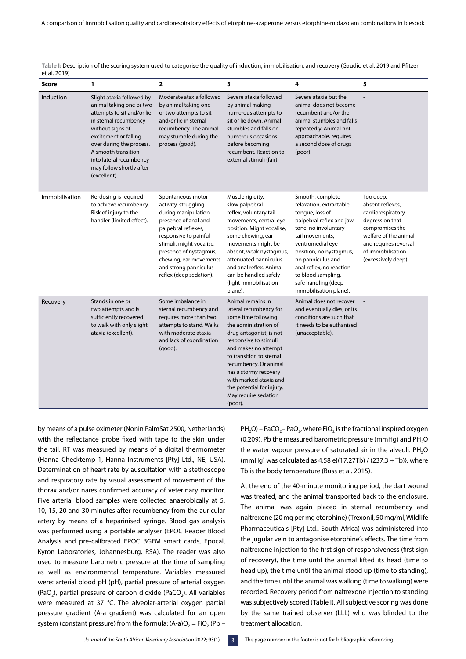| c. u. 2012     |                                                                                                                                                                                                                                                                                     |                                                                                                                                                                                                                                                                               |                                                                                                                                                                                                                                                                                                                                                 |                                                                                                                                                                                                                                                                                                              |                                                                                                                                                                                        |
|----------------|-------------------------------------------------------------------------------------------------------------------------------------------------------------------------------------------------------------------------------------------------------------------------------------|-------------------------------------------------------------------------------------------------------------------------------------------------------------------------------------------------------------------------------------------------------------------------------|-------------------------------------------------------------------------------------------------------------------------------------------------------------------------------------------------------------------------------------------------------------------------------------------------------------------------------------------------|--------------------------------------------------------------------------------------------------------------------------------------------------------------------------------------------------------------------------------------------------------------------------------------------------------------|----------------------------------------------------------------------------------------------------------------------------------------------------------------------------------------|
| Score          | 1                                                                                                                                                                                                                                                                                   | 2                                                                                                                                                                                                                                                                             | 3                                                                                                                                                                                                                                                                                                                                               | 4                                                                                                                                                                                                                                                                                                            | 5                                                                                                                                                                                      |
| Induction      | Slight ataxia followed by<br>animal taking one or two<br>attempts to sit and/or lie<br>in sternal recumbency<br>without signs of<br>excitement or falling<br>over during the process.<br>A smooth transition<br>into lateral recumbency<br>may follow shortly after<br>(excellent). | Moderate ataxia followed<br>by animal taking one<br>or two attempts to sit<br>and/or lie in sternal<br>recumbency. The animal<br>may stumble during the<br>process (good).                                                                                                    | Severe ataxia followed<br>by animal making<br>numerous attempts to<br>sit or lie down. Animal<br>stumbles and falls on<br>numerous occasions<br>before becoming<br>recumbent. Reaction to<br>external stimuli (fair).                                                                                                                           | Severe ataxia but the<br>animal does not become<br>recumbent and/or the<br>animal stumbles and falls<br>repeatedly. Animal not<br>approachable, requires<br>a second dose of drugs<br>(poor).                                                                                                                |                                                                                                                                                                                        |
| Immobilisation | Re-dosing is required<br>to achieve recumbency.<br>Risk of injury to the<br>handler (limited effect).                                                                                                                                                                               | Spontaneous motor<br>activity, struggling<br>during manipulation,<br>presence of anal and<br>palpebral reflexes,<br>responsive to painful<br>stimuli, might vocalise,<br>presence of nystagmus,<br>chewing, ear movements<br>and strong panniculus<br>reflex (deep sedation). | Muscle rigidity,<br>slow palpebral<br>reflex, voluntary tail<br>movements, central eye<br>position. Might vocalise,<br>some chewing, ear<br>movements might be<br>absent, weak nystagmus,<br>attenuated panniculus<br>and anal reflex. Animal<br>can be handled safely<br>(light immobilisation<br>plane).                                      | Smooth, complete<br>relaxation, extractable<br>tongue, loss of<br>palpebral reflex and jaw<br>tone, no involuntary<br>tail movements,<br>ventromedial eye<br>position, no nystagmus,<br>no panniculus and<br>anal reflex, no reaction<br>to blood sampling,<br>safe handling (deep<br>immobilisation plane). | Too deep,<br>absent reflexes,<br>cardiorespiratory<br>depression that<br>compromises the<br>welfare of the animal<br>and requires reversal<br>of immobilisation<br>(excessively deep). |
| Recovery       | Stands in one or<br>two attempts and is<br>sufficiently recovered<br>to walk with only slight<br>ataxia (excellent).                                                                                                                                                                | Some imbalance in<br>sternal recumbency and<br>requires more than two<br>attempts to stand. Walks<br>with moderate ataxia<br>and lack of coordination<br>$(good)$ .                                                                                                           | Animal remains in<br>lateral recumbency for<br>some time following<br>the administration of<br>drug antagonist, is not<br>responsive to stimuli<br>and makes no attempt<br>to transition to sternal<br>recumbency. Or animal<br>has a stormy recovery<br>with marked ataxia and<br>the potential for injury.<br>May require sedation<br>(poor). | Animal does not recover<br>and eventually dies, or its<br>conditions are such that<br>it needs to be euthanised<br>(unacceptable).                                                                                                                                                                           |                                                                                                                                                                                        |

**Table I:** Description of the scoring system used to categorise the quality of induction, immobilisation, and recovery (Gaudio et al. 2019 and Pfitzer et al. 2019)

by means of a pulse oximeter (Nonin PalmSat 2500, Netherlands) with the reflectance probe fixed with tape to the skin under the tail. RT was measured by means of a digital thermometer (Hanna Checktemp 1, Hanna Instruments [Pty] Ltd., NE, USA). Determination of heart rate by auscultation with a stethoscope and respiratory rate by visual assessment of movement of the thorax and/or nares confirmed accuracy of veterinary monitor. Five arterial blood samples were collected anaerobically at 5, 10, 15, 20 and 30 minutes after recumbency from the auricular artery by means of a heparinised syringe. Blood gas analysis was performed using a portable analyser (EPOC Reader Blood Analysis and pre-calibrated EPOC BGEM smart cards, Epocal, Kyron Laboratories, Johannesburg, RSA). The reader was also used to measure barometric pressure at the time of sampling as well as environmental temperature. Variables measured were: arterial blood pH (pH), partial pressure of arterial oxygen (PaO<sub>2</sub>), partial pressure of carbon dioxide (PaCO<sub>2</sub>). All variables were measured at 37 °C. The alveolar-arterial oxygen partial pressure gradient (A-a gradient) was calculated for an open system (constant pressure) from the formula:  $(A-a)O<sub>2</sub> = FiO<sub>2</sub>$  (Pb –

 $PH_2O$ ) – PaCO<sub>2</sub>– PaO<sub>2</sub>, where FiO<sub>2</sub> is the fractional inspired oxygen (0.209), Pb the measured barometric pressure (mmHg) and  $PH<sub>2</sub>O$ the water vapour pressure of saturated air in the alveoli.  $PH<sub>2</sub>O$ (mmHg) was calculated as 4.58 e{(17.27Tb) / (237.3 + Tb)}, where Tb is the body temperature (Buss et al. 2015).

At the end of the 40-minute monitoring period, the dart wound was treated, and the animal transported back to the enclosure. The animal was again placed in sternal recumbency and naltrexone (20 mg per mg etorphine) (Trexonil, 50 mg/ml, Wildlife Pharmaceuticals [Pty] Ltd., South Africa) was administered into the jugular vein to antagonise etorphine's effects. The time from naltrexone injection to the first sign of responsiveness (first sign of recovery), the time until the animal lifted its head (time to head up), the time until the animal stood up (time to standing), and the time until the animal was walking (time to walking) were recorded. Recovery period from naltrexone injection to standing was subjectively scored (Table I). All subjective scoring was done by the same trained observer (LLL) who was blinded to the treatment allocation.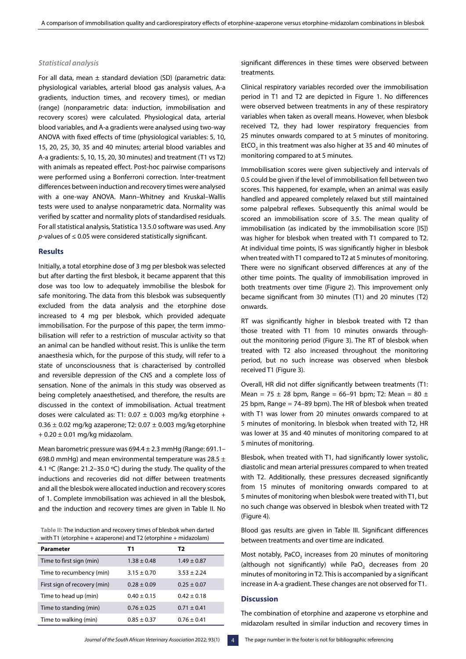## *Statistical analysis*

For all data, mean  $\pm$  standard deviation (SD) (parametric data: physiological variables, arterial blood gas analysis values, A-a gradients, induction times, and recovery times), or median (range) (nonparametric data: induction, immobilisation and recovery scores) were calculated. Physiological data, arterial blood variables, and A-a gradients were analysed using two-way ANOVA with fixed effects of time (physiological variables: 5, 10, 15, 20, 25, 30, 35 and 40 minutes; arterial blood variables and A-a gradients: 5, 10, 15, 20, 30 minutes) and treatment (T1 vs T2) with animals as repeated effect. Post-hoc pairwise comparisons were performed using a Bonferroni correction. Inter-treatment differences between induction and recovery times were analysed with a one-way ANOVA. Mann–Whitney and Kruskal–Wallis tests were used to analyse nonparametric data. Normality was verified by scatter and normality plots of standardised residuals. For all statistical analysis, Statistica 13.5.0 software was used. Any *p*-values of ≤ 0.05 were considered statistically significant.

## **Results**

Initially, a total etorphine dose of 3 mg per blesbok was selected but after darting the first blesbok, it became apparent that this dose was too low to adequately immobilise the blesbok for safe monitoring. The data from this blesbok was subsequently excluded from the data analysis and the etorphine dose increased to 4 mg per blesbok, which provided adequate immobilisation. For the purpose of this paper, the term immobilisation will refer to a restriction of muscular activity so that an animal can be handled without resist. This is unlike the term anaesthesia which, for the purpose of this study, will refer to a state of unconsciousness that is characterised by controlled and reversible depression of the CNS and a complete loss of sensation. None of the animals in this study was observed as being completely anaesthetised, and therefore, the results are discussed in the context of immobilisation. Actual treatment doses were calculated as: T1:  $0.07 \pm 0.003$  mg/kg etorphine +  $0.36 \pm 0.02$  mg/kg azaperone; T2:  $0.07 \pm 0.003$  mg/kg etorphine  $+ 0.20 \pm 0.01$  mg/kg midazolam.

Mean barometric pressure was 694.4 ± 2.3 mmHg (Range: 691.1– 698.0 mmHg) and mean environmental temperature was 28.5  $\pm$ 4.1 ºC (Range: 21.2–35.0 ºC) during the study. The quality of the inductions and recoveries did not differ between treatments and all the blesbok were allocated induction and recovery scores of 1. Complete immobilisation was achieved in all the blesbok, and the induction and recovery times are given in Table II. No

**Table II:** The induction and recovery times of blesbok when darted with T1 (etorphine + azaperone) and T2 (etorphine + midazolam)

| Parameter                    | Τ1              | Т2              |
|------------------------------|-----------------|-----------------|
| Time to first sign (min)     | $1.38 \pm 0.48$ | $1.49 \pm 0.87$ |
| Time to recumbency (min)     | $3.15 \pm 0.70$ | $3.53 \pm 2.24$ |
| First sign of recovery (min) | $0.28 \pm 0.09$ | $0.25 \pm 0.07$ |
| Time to head up (min)        | $0.40 \pm 0.15$ | $0.42 \pm 0.18$ |
| Time to standing (min)       | $0.76 \pm 0.25$ | $0.71 \pm 0.41$ |
| Time to walking (min)        | $0.85 \pm 0.37$ | $0.76 \pm 0.41$ |

significant differences in these times were observed between treatments.

Clinical respiratory variables recorded over the immobilisation period in T1 and T2 are depicted in Figure 1. No differences were observed between treatments in any of these respiratory variables when taken as overall means. However, when blesbok received T2, they had lower respiratory frequencies from 25 minutes onwards compared to at 5 minutes of monitoring. EtCO<sub>2</sub> in this treatment was also higher at 35 and 40 minutes of monitoring compared to at 5 minutes.

Immobilisation scores were given subjectively and intervals of 0.5 could be given if the level of immobilisation fell between two scores. This happened, for example, when an animal was easily handled and appeared completely relaxed but still maintained some palpebral reflexes. Subsequently this animal would be scored an immobilisation score of 3.5. The mean quality of immobilisation (as indicated by the immobilisation score [IS]) was higher for blesbok when treated with T1 compared to T2. At individual time points, IS was significantly higher in blesbok when treated with T1 compared to T2 at 5 minutes of monitoring. There were no significant observed differences at any of the other time points. The quality of immobilisation improved in both treatments over time (Figure 2). This improvement only became significant from 30 minutes (T1) and 20 minutes (T2) onwards.

RT was significantly higher in blesbok treated with T2 than those treated with T1 from 10 minutes onwards throughout the monitoring period (Figure 3). The RT of blesbok when treated with T2 also increased throughout the monitoring period, but no such increase was observed when blesbok received T1 (Figure 3).

Overall, HR did not differ significantly between treatments (T1: Mean = 75  $\pm$  28 bpm, Range = 66-91 bpm; T2: Mean = 80  $\pm$ 25 bpm, Range = 74–89 bpm). The HR of blesbok when treated with T1 was lower from 20 minutes onwards compared to at 5 minutes of monitoring. In blesbok when treated with T2, HR was lower at 35 and 40 minutes of monitoring compared to at 5 minutes of monitoring.

Blesbok, when treated with T1, had significantly lower systolic, diastolic and mean arterial pressures compared to when treated with T2. Additionally, these pressures decreased significantly from 15 minutes of monitoring onwards compared to at 5 minutes of monitoring when blesbok were treated with T1, but no such change was observed in blesbok when treated with T2 (Figure 4).

Blood gas results are given in Table III. Significant differences between treatments and over time are indicated.

Most notably, PaCO<sub>2</sub> increases from 20 minutes of monitoring (although not significantly) while  $PaO<sub>2</sub>$  decreases from 20 minutes of monitoring in T2. This is accompanied by a significant increase in A-a gradient. These changes are not observed for T1.

#### **Discussion**

The combination of etorphine and azaperone vs etorphine and midazolam resulted in similar induction and recovery times in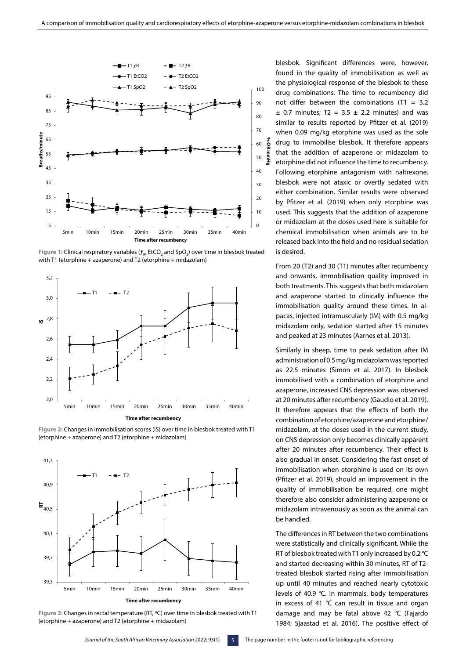

they had lower respiratory frequencies from 25 minutes from 25 minutes on wards compared to at 5 minutes on the

Figure 1: Clinical respiratory variables ( $f_{\rm R}$ , EtCO<sub>2</sub> and SpO<sub>2</sub>) over time in blesbok treated with T1 (etorphine + azaperone) and T2 (etorphine + midazolam) Figure 1: Christal respiratory variables  $(J_R, EICO_2)$  and  $SpO_2$  over time in biesbok trea



**Figure 2:** Changes in immobilisation scores (IS) over time in blesbok treated with T1 **Figure 2:** Changes in immobilisation scores (IS) over time in blesbok treated with T1 (etorphine + azaperone) and T2 (etorphine + midazolam) (etorphine + azaperone) and T2 (etorphine + midazolam)



**Figure 3:** Changes in rectal temperature (RT, ºC) over time in blesbok treated with T1 **Figure 3:** Changes in rectal temperature (RT, ºC) over time in blesbok treated with T1 (etorphine + azaperone) and T2 (etorphine + midazolam) (etorphine + azaperone) and T2 (etorphine + midazolam)

blesbok. Significant differences were, however, found in the quality of immobilisation as well as the physiological response of the blesbok to these drug combinations. The time to recumbency did not differ between the combinations (T1 =  $3.2$  $\pm$  0.7 minutes; T2 = 3.5  $\pm$  2.2 minutes) and was similar to results reported by Pfitzer et al. (2019) when 0.09 mg/kg etorphine was used as the sole %ol drug to immobilise blesbok. It therefore appears that the addition of azaperone or midazolam to etorphine did not influence the time to recumbency. Following etorphine antagonism with naltrexone, blesbok were not ataxic or overtly sedated with either combination. Similar results were observed by Pfitzer et al. (2019) when only etorphine was used. This suggests that the addition of azaperone or midazolam at the doses used here is suitable for chemical immobilisation when animals are to be released back into the field and no residual sedation is desired.

From 20 (T2) and 30 (T1) minutes after recumbency and onwards, immobilisation quality improved in both treatments. This suggests that both midazolam and azaperone started to clinically influence the immobilisation quality around these times. In alpacas, injected intramuscularly (IM) with 0.5 mg/kg midazolam only, sedation started after 15 minutes and peaked at 23 minutes (Aarnes et al. 2013).

Similarly in sheep, time to peak sedation after IM administration of 0.5 mg/kg midazolam was reported as 22.5 minutes (Simon et al. 2017). In blesbok immobilised with a combination of etorphine and azaperone, increased CNS depression was observed at 20 minutes after recumbency (Gaudio et al. 2019). It therefore appears that the effects of both the combination of etorphine/azaperone and etorphine/ midazolam, at the doses used in the current study, on CNS depression only becomes clinically apparent after 20 minutes after recumbency. Their effect is also gradual in onset. Considering the fast onset of immobilisation when etorphine is used on its own (Pfitzer et al. 2019), should an improvement in the quality of immobilisation be required, one might therefore also consider administering azaperone or midazolam intravenously as soon as the animal can be handled.

The differences in RT between the two combinations were statistically and clinically significant. While the RT of blesbok treated with T1 only increased by 0.2 °C and started decreasing within 30 minutes, RT of T2 treated blesbok started rising after immobilisation up until 40 minutes and reached nearly cytotoxic levels of 40.9 °C. In mammals, body temperatures in excess of 41 °C can result in tissue and organ damage and may be fatal above 42 °C (Fajardo 1984; Sjaastad et al. 2016). The positive effect of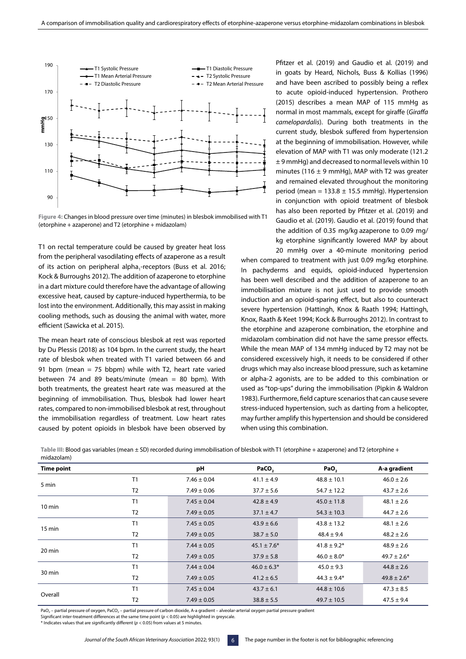

(etorphine + azaperone) and T2 (etorphine + midazolam) **Figure 4:** Changes in blood pressure over time (minutes) in blesbok immobilised with T1

T1 on rectal temperature could be caused by greater heat loss from the peripheral vasodilating effects of azaperone as a result when of its action on peripheral alpha<sub>1</sub>-receptors (Buss et al. 2016; Kock & Burroughs 2012). The addition of azaperone to etorphine  $\frac{11}{100}$ in a dart mixture could therefore have the advantage of allowing in a dart mixture could therefore have the advantage of allowing excessive heat, caused by capture-induced hyperthermia, to be **Table** lost into the environment. Additionally, this may assist in making cooling methods, such as dousing the animal with water, more efficient (Sawicka et al. 2015). Trom the peripheral vasouliating effects of azapero **TOSE INTO THE ENVIROPMENT. AQUITIONALLY, THIS HIDY ASSIST IN MAKING**  $10$  minimum  $10$  and  $1201$   $15$ .

The mean heart rate of conscious blesbok at rest was reported by Du Plessis (2018) as 104 bpm. In the current study, the heart rate of blesbok when treated with T1 varied between 66 and 91 bpm (mean  $= 75$  bbpm) while with T2, heart rate varied between 74 and 89 beats/minute (mean = 80 bpm). With  $b$  between  $74$  and  $69$  beats/minute (mean  $-$  60 bpm). With both treatments, the greatest heart rate was measured at the beginning of immobilisation. Thus, blesbok had lower heart rates, compared to non-immobilised blesbok at rest, throughout the immobilisation regardless of treatment. Low heart rates caused by potent opioids in blesbok have been observed by The mean nearl rate of conscious biesbok at rest was reported to  $\frac{1}{2}$ .

Pfitzer et al. (2019) and Gaudio et al. (2019) and in goats by Heard, Nichols, Buss & Kollias (1996) and have been ascribed to possibly being a reflex to acute opioid-induced hypertension. Prothero (2015) describes a mean MAP of 115 mmHg as normal in most mammals, except for giraffe (*Giraffa camelopardalis*). During both treatments in the current study, blesbok suffered from hypertension at the beginning of immobilisation. However, while elevation of MAP with T1 was only moderate (121.2 ± 9 mmHg) and decreased to normal levels within 10 minutes (116  $\pm$  9 mmHg), MAP with T2 was greater and remained elevated throughout the monitoring period (mean =  $133.8 \pm 15.5$  mmHg). Hypertension in conjunction with opioid treatment of blesbok has also been reported by Pfitzer et al. (2019) and Gaudio et al. (2019). Gaudio et al. (2019) found that the addition of 0.35 mg/kg azaperone to 0.09 mg/ kg etorphine significantly lowered MAP by about 20 mmHg over a 40-minute monitoring period

when compared to treatment with just 0.09 mg/kg etorphine. In pachyderms and equids, opioid-induced hypertension has been well described and the addition of azaperone to an immobilisation mixture is not just used to provide smooth induction and an opioid-sparing effect, but also to counteract severe hypertension (Hattingh, Knox & Raath 1994; Hattingh, Knox, Raath & Keet 1994; Kock & Burroughs 2012). In contrast to the etorphine and azaperone combination, the etorphine and midazolam combination did not have the same pressor effects. While the mean MAP of 134 mmHg induced by T2 may not be considered excessively high, it needs to be considered if other drugs which may also increase blood pressure, such as ketamine or alpha-2 agonists, are to be added to this combination or used as "top-ups" during the immobilisation (Pipkin & Waldron 1983). Furthermore, field capture scenarios that can cause severe stress-induced hypertension, such as darting from a helicopter, may further amplify this hypertension and should be considered when using this combination.

Table III: Blood gas variables (mean ± SD) recorded during immobilisation of blesbok with T1 (etorphine + azaperone) and T2 (etorphine + midazolam)

| <b>Time point</b> |                | рH              | PaCO <sub>2</sub> | PaO <sub>2</sub> | A-a gradient    |
|-------------------|----------------|-----------------|-------------------|------------------|-----------------|
| 5 min             | T <sub>1</sub> | $7.46 \pm 0.04$ | $41.1 \pm 4.9$    | $48.8 \pm 10.1$  | $46.0 \pm 2.6$  |
|                   | T <sub>2</sub> | $7.49 \pm 0.06$ | $37.7 \pm 5.6$    | $54.7 \pm 12.2$  | $43.7 \pm 2.6$  |
|                   | T1             | $7.45 \pm 0.04$ | $42.8 \pm 4.9$    | $45.0 \pm 11.8$  | $48.1 \pm 2.6$  |
| $10 \text{ min}$  | T <sub>2</sub> | $7.49 \pm 0.05$ | $37.1 \pm 4.7$    | $54.3 \pm 10.3$  | $44.7 \pm 2.6$  |
|                   | T1             | $7.45 \pm 0.05$ | $43.9 \pm 6.6$    | $43.8 \pm 13.2$  | $48.1 \pm 2.6$  |
| $15 \text{ min}$  | T <sub>2</sub> | $7.49 \pm 0.05$ | $38.7 \pm 5.0$    | $48.4 \pm 9.4$   | $48.2 \pm 2.6$  |
| 20 min            | T1             | $7.44 \pm 0.05$ | $45.1 \pm 7.6*$   | $41.8 \pm 9.2^*$ | $48.9 \pm 2.6$  |
|                   | T <sub>2</sub> | $7.49 \pm 0.05$ | $37.9 \pm 5.8$    | $46.0 \pm 8.0*$  | $49.7 \pm 2.6*$ |
|                   | T1             | $7.44 \pm 0.04$ | $46.0 \pm 6.3*$   | $45.0 \pm 9.3$   | $44.8 \pm 2.6$  |
| 30 min            | T <sub>2</sub> | $7.49 \pm 0.05$ | $41.2 \pm 6.5$    | $44.3 \pm 9.4*$  | $49.8 \pm 2.6*$ |
|                   | T <sub>1</sub> | $7.45 \pm 0.04$ | $43.7 \pm 6.1$    | $44.8 \pm 10.6$  | $47.3 \pm 8.5$  |
| Overall           | T <sub>2</sub> | $7.49 \pm 0.05$ | $38.8 \pm 5.5$    | $49.7 \pm 10.5$  | $47.5 \pm 9.4$  |

PaO<sub>2</sub> – partial pressure of oxygen, PaCO<sub>2</sub> – partial pressure of carbon dioxide, A-a gradient – alveolar-arterial oxygen partial pressure gradient

Significant inter-treatment differences at the same time point ( $p < 0.05$ ) are highlighted in greyscale

\* Indicates values that are significantly different (*p* < 0.05) from values at 5 minutes.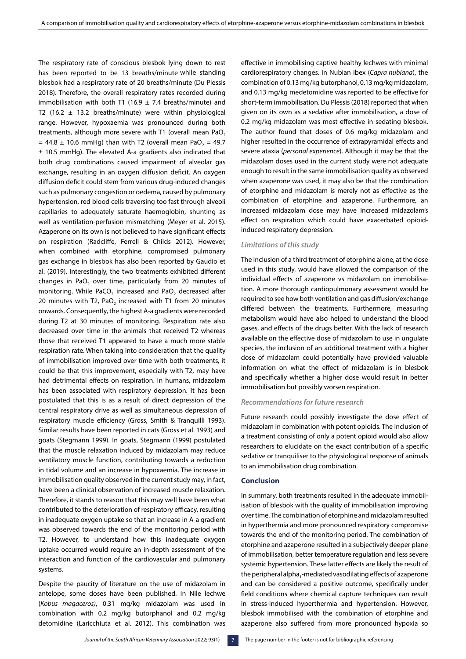The respiratory rate of conscious blesbok lying down to rest has been reported to be 13 breaths/minute while standing blesbok had a respiratory rate of 20 breaths/minute (Du Plessis 2018). Therefore, the overall respiratory rates recorded during immobilisation with both T1 (16.9  $\pm$  7.4 breaths/minute) and T2 (16.2  $\pm$  13.2 breaths/minute) were within physiological range. However, hypoxaemia was pronounced during both treatments, although more severe with T1 (overall mean PaO<sub>2</sub>  $= 44.8 \pm 10.6$  mmHg) than with T2 (overall mean PaO<sub>2</sub> = 49.7 ± 10.5 mmHg). The elevated A-a gradients also indicated that both drug combinations caused impairment of alveolar gas exchange, resulting in an oxygen diffusion deficit. An oxygen diffusion deficit could stem from various drug-induced changes such as pulmonary congestion or oedema, caused by pulmonary hypertension, red blood cells traversing too fast through alveoli capillaries to adequately saturate haemoglobin, shunting as well as ventilation-perfusion mismatching (Meyer et al. 2015). Azaperone on its own is not believed to have significant effects on respiration (Radcliffe, Ferrell & Childs 2012). However, when combined with etorphine, compromised pulmonary gas exchange in blesbok has also been reported by Gaudio et al. (2019). Interestingly, the two treatments exhibited different changes in PaO<sub>2</sub> over time, particularly from 20 minutes of monitoring. While PaCO<sub>2</sub> increased and PaO<sub>2</sub> decreased after 20 minutes with T2, PaO<sub>2</sub> increased with T1 from 20 minutes onwards. Consequently, the highest A-a gradients were recorded during T2 at 30 minutes of monitoring. Respiration rate also decreased over time in the animals that received T2 whereas those that received T1 appeared to have a much more stable respiration rate. When taking into consideration that the quality of immobilisation improved over time with both treatments, it could be that this improvement, especially with T2, may have had detrimental effects on respiration. In humans, midazolam has been associated with respiratory depression. It has been postulated that this is as a result of direct depression of the central respiratory drive as well as simultaneous depression of respiratory muscle efficiency (Gross, Smith & Tranquilli 1993). Similar results have been reported in cats (Gross et al. 1993) and goats (Stegmann 1999). In goats, Stegmann (1999) postulated that the muscle relaxation induced by midazolam may reduce ventilatory muscle function, contributing towards a reduction in tidal volume and an increase in hypoxaemia. The increase in immobilisation quality observed in the current study may, in fact, have been a clinical observation of increased muscle relaxation. Therefore, it stands to reason that this may well have been what contributed to the deterioration of respiratory efficacy, resulting in inadequate oxygen uptake so that an increase in A-a gradient was observed towards the end of the monitoring period with T2. However, to understand how this inadequate oxygen uptake occurred would require an in-depth assessment of the interaction and function of the cardiovascular and pulmonary systems.

Despite the paucity of literature on the use of midazolam in antelope, some doses have been published. In Nile lechwe (*Kobus magaceros)*, 0.31 mg/kg midazolam was used in combination with 0.2 mg/kg butorphanol and 0.2 mg/kg detomidine (Laricchiuta et al. 2012). This combination was effective in immobilising captive healthy lechwes with minimal cardiorespiratory changes. In Nubian ibex (*Capra nubiana*), the combination of 0.13 mg/kg butorphanol, 0.13 mg/kg midazolam, and 0.13 mg/kg medetomidine was reported to be effective for short-term immobilisation. Du Plessis (2018) reported that when given on its own as a sedative after immobilisation, a dose of 0.2 mg/kg midazolam was most effective in sedating blesbok. The author found that doses of 0.6 mg/kg midazolam and higher resulted in the occurrence of extrapyramidal effects and severe ataxia (*personal experience*). Although it may be that the midazolam doses used in the current study were not adequate enough to result in the same immobilisation quality as observed when azaperone was used, it may also be that the combination of etorphine and midazolam is merely not as effective as the combination of etorphine and azaperone. Furthermore, an increased midazolam dose may have increased midazolam's effect on respiration which could have exacerbated opioidinduced respiratory depression.

## *Limitations of this study*

The inclusion of a third treatment of etorphine alone, at the dose used in this study, would have allowed the comparison of the individual effects of azaperone vs midazolam on immobilisation. A more thorough cardiopulmonary assessment would be required to see how both ventilation and gas diffusion/exchange differed between the treatments. Furthermore, measuring metabolism would have also helped to understand the blood gases, and effects of the drugs better. With the lack of research available on the effective dose of midazolam to use in ungulate species, the inclusion of an additional treatment with a higher dose of midazolam could potentially have provided valuable information on what the effect of midazolam is in blesbok and specifically whether a higher dose would result in better immobilisation but possibly worsen respiration.

#### *Recommendations for future research*

Future research could possibly investigate the dose effect of midazolam in combination with potent opioids. The inclusion of a treatment consisting of only a potent opioid would also allow researchers to elucidate on the exact contribution of a specific sedative or tranquiliser to the physiological response of animals to an immobilisation drug combination.

## **Conclusion**

In summary, both treatments resulted in the adequate immobilisation of blesbok with the quality of immobilisation improving over time. The combination of etorphine and midazolam resulted in hyperthermia and more pronounced respiratory compromise towards the end of the monitoring period. The combination of etorphine and azaperone resulted in a subjectively deeper plane of immobilisation, better temperature regulation and less severe systemic hypertension. These latter effects are likely the result of the peripheral alpha<sub>1</sub>-mediated vasodilating effects of azaperone and can be considered a positive outcome, specifically under field conditions where chemical capture techniques can result in stress-induced hyperthermia and hypertension. However, blesbok immobilised with the combination of etorphine and azaperone also suffered from more pronounced hypoxia so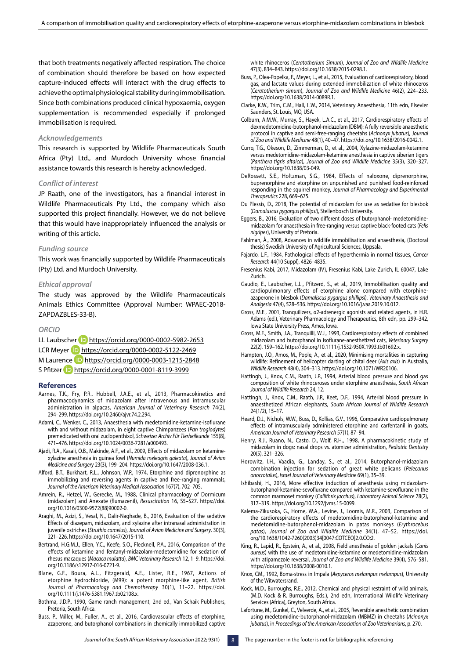that both treatments negatively affected respiration. The choice of combination should therefore be based on how expected capture-induced effects will interact with the drug effects to achieve the optimal physiological stability during immobilisation. Since both combinations produced clinical hypoxaemia, oxygen supplementation is recommended especially if prolonged immobilisation is required.

#### *Acknowledgements*

This research is supported by Wildlife Pharmaceuticals South Africa (Pty) Ltd., and Murdoch University whose financial assistance towards this research is hereby acknowledged.

#### *Conflict of interest*

JP Raath, one of the investigators, has a financial interest in Wildlife Pharmaceuticals Pty Ltd., the company which also supported this project financially. However, we do not believe that this would have inappropriately influenced the analysis or writing of this article.

#### *Funding source*

This work was financially supported by Wildlife Pharmaceuticals (Pty) Ltd. and Murdoch University.

#### *Ethical approval*

The study was approved by the Wildlife Pharmaceuticals Animals Ethics Committee (Approval Number: WPAEC-2018- ZAPDAZBLES-33-B).

#### *ORCID*

LL Laubscher **iD** <https://orcid.org/0000-0002-5982-2653> LCR Meyer **D** <https://orcid.org/0000-0002-5122-2469> M Laurence **b** [https://orcid.org/0000-0003-1215-2848](ttps://orcid.org/0000-0003-1215-2848) S Pfitzer **<https://orcid.org/0000-0001-8119-3999>** 

#### **References**

- Aarnes, T.K., Fry, P.R., Hubbell, J.A.E., et al., 2013, Pharmacokinetics and pharmacodynamics of midazolam after intravenous and intramuscular administration in alpacas, *American Journal of Veterinary Research* 74(2), 294–299. https://doi.org/10.2460/ajvr.74.2.294.
- Adami, C., Wenker, C., 2013, Anaesthesia with medetomidine-ketamine-isoflurane with and without midazolam, in eight captive Chimpanzees (*Pan troglodytes*) premedicated with oral zuclopenthixol, *Schweizer Archiv Für Tierheilkunde* 155(8), 471–476. https://doi.org/10.1024/0036-7281/a000493.
- Ajadi, R.A., Kasali, O.B., Makinde, A.F., et al., 2009, Effects of midazolam on ketaminexylazine anesthesia in guinea fowl (*Numida meleagris galeata*), *Journal of Avian Medicine and Surger*y 23(3), 199–204. https://doi.org/10.1647/2008-036.1.
- Alford, B.T., Burkhart, R.L., Johnson, W.P., 1974, Etorphine and diprenorphine as immobilizing and reversing agents in captive and free-ranging mammals, *Journal of the American Veterinary Medical Association* 167(7), 702–705.
- Amrein, R., Hetzel, W., Gerecke, M., 1988, Clinical pharmacology of Dormicum (midazolam) and Anexate (flumazenil), *Resuscitation* 16, S5–S27. https://doi. org/10.1016/0300-9572(88)90002-0.
- Araghi, M., Azizi, S., Vesal, N., Dalir-Naghade, B., 2016, Evaluation of the sedative Effects of diazepam, midazolam, and xylazine after intranasal administration in juvenile ostriches (*Struthio camelus*), *Journal of Avian Medicine and Surgery*. 30(3), 221–226. https://doi.org/10.1647/2015-110.
- Bertrand, H.G.M.J., Ellen, Y.C., Keefe, S.O., Flecknell, P.A., 2016, Comparison of the effects of ketamine and fentanyl-midazolam-medetomidine for sedation of rhesus macaques (*Macaca mulatta*), *BMC Veterinary Research* 12, 1–9. https://doi. org/10.1186/s12917-016-0721-9.
- Blane, G.F., Boura, A.L., Fitzgerald, A.E., Lister, R.E., 1967, Actions of etorphine hydrochloride, (M99): a potent morphine-like agent, *British Journal of Pharmacology and Chemotherapy* 30(1), 11–22. https://doi. org/10.1111/j.1476-5381.1967.tb02108.x.
- Bothma, J.D.P., 1990, Game ranch management, 2nd ed., Van Schaik Publishers, Pretoria, South Africa.
- Buss, P., Miller, M., Fuller, A., et al., 2016, Cardiovascular effects of etorphine, azaperone, and butorphanol combinations in chemically immobilized captive

white rhinoceros (*Ceratotherium Simum*), *Journal of Zoo and Wildlife Medicine* 47(3), 834–843. https://doi.org/10.1638/2015-0298.1.

- Buss, P., Olea-Popelka, F., Meyer, L., et al., 2015, Evaluation of cardiorespiratory, blood gas, and lactate values during extended immobilization of white rhinoceros (*Ceratotherium simum*), J*ournal of Zoo and Wildlife Medicine* 46(2), 224–233. https://doi.org/10.1638/2014-0089R.1.
- Clarke, K.W., Trim, C.M., Hall, L.W., 2014, Veterinary Anaesthesia, 11th edn, Elsevier Saunders, St. Louis, MO, USA.
- Colburn, A.M.W., Murray, S., Hayek, L.A.C., et al., 2017, Cardiorespiratory effects of dexmedetomidine-butorphanol-midazolam (DBM): A fully reversible anaesthetic protocol in captive and semi-free-ranging cheetahs (*Acinonyx jubatus*), J*ournal of Zoo and Wildlife Medicine* 48(1), 40–47. https://doi.org/10.1638/2016-0042.1.
- Curro, T.G., Okeson, D., Zimmerman, D., et al., 2004, Xylazine-midazolam-ketamine versus medetomidine-midazolam-ketamine anesthesia in captive siberian tigers (*Panthera tigris altaica*), *Journal of Zoo and Wildlife Medicine* 35(3), 320–327. https://doi.org/10.1638/03-049.
- DeRossett, S.E., Holtzman, S.G., 1984, Effects of naloxone, diprenorphine, buprenorphine and etorphine on unpunished and punished food-reinforced responding in the squirrel monkey, J*ournal of Pharmacology and Experimental Therapeutics* 228, 669–675.
- Du Plessis, D., 2018, The potential of midazolam for use as sedative for blesbok (*Damaluscus pygargus phillipsi*), Stellenbosch University.
- Eggers, B., 2016, Evaluation of two different doses of butorphanol- medetomidinemidazolam for anaesthesia in free-ranging versus captive black-footed cats (*Felis nigripes*), University of Pretoria.
- Fahlman, Å., 2008, Advances in wildlife immobilisation and anaesthesia, (Doctoral thesis) Swedish University of Agricultural Sciences, Uppsala.
- Fajardo, L.F., 1984, Pathological effects of hyperthermia in normal tissues, *Cancer Research* 44(10 Suppl), 4826–4835.
- Fresenius Kabi, 2017, Midazolam (IV), Fresenius Kabi, Lake Zurich, IL 60047, Lake Zurich.
- Gaudio, E., Laubscher, L.L., Pfitzerd, S., et al., 2019, Immobilisation quality and cardiopulmonary effects of etorphine alone compared with etorphineazaperone in blesbok (*Damaliscus pygargus phillipsi*), *Veterinary Anaesthesia and Analgesia* 47(4), 528–536. https://doi.org/10.1016/j.vaa.2019.10.012.
- Gross, M.E., 2001, Tranquilizers, α2-adrenergic agonists and related agents, in H.R. Adams (ed.), Veterinary Pharmacology and Therapeutics, 8th edn, pp. 299–342, Iowa State University Press, Ames, Iowa.
- Gross, M.E., Smith, J.A., Tranquilli, W.J., 1993, Cardiorespiratory effects of combined midazolam and butorphanol in isoflurane-anesthetized cats, *Veterinary Surgery* 22(2), 159–162. https://doi.org/10.1111/j.1532-950X.1993.tb01692.x.
- Hampton, J.O., Amos, M., Pople, A., et al., 2020, Minimising mortalities in capturing wildlife: Refinement of helicopter darting of chital deer (*Axis axis*) in Australia, *Wildlife Research* 48(4), 304–313. https://doi.org/10.1071/WR20106.
- Hattingh, J., Knox, C.M., Raath, J.P., 1994, Arterial blood pressure and blood gas composition of white rhinoceroses under etorphine anaesthesia, *South African Journal of Wildlife Research* 24, 12.
- Hattingh, J., Knox, C.M., Raath, J.P., Keet, D.F., 1994, Arterial blood pressure in anaesthetized African elephants, *South African Journal of Wildlife Research*  24(1/2), 15–17.
- Heard, D.J., Nichols, W.W., Buss, D., Kollias, G.V., 1996, Comparative cardiopulmonary effects of intramuscularly administered etorphine and carfentanil in goats, *American Journal of Veterinary Research* 57(1), 87–94.
- Henry, R.J., Ruano, N., Casto, D., Wolf, R.H., 1998, A pharmacokinetic study of midazolam in dogs: nasal drops vs. atomizer administration, *Pediatric Dentistry*  20(5), 321–326.
- Horowitz, I.H., Vaadia, G., Landay, S., et al., 2014, Butorphanol-midazolam combination injection for sedation of great white pelicans (*Pelecanus onocrotalus*), *Israel Journal of Veterinary Medicine* 69(1), 35–39.
- Ishibashi, H., 2016, More effective induction of anesthesia using midazolambutorphanol-ketamine-sevoflurane compared with ketamine-sevoflurane in the common marmoset monkey (*Callithrix jacchus*), *Laboratory Animal Science* 78(2), 317–319. https://doi.org/10.1292/jvms.15-0099.
- Kalema-Zikusoka, G., Horne, W.A., Levine, J., Loomis, M.R., 2003, Comparison of the cardiorespiratory effects of medetomidine-butorphenol-ketamine and medetomidine-butorphenol-midazolam in patas monkeys (*Erythrocebus patas*), *Journal of Zoo and Wildlife Medicine* 34(1), 47–52. https://doi. org/10.1638/1042-7260(2003)34[0047:COTCEO]2.0.CO;2.
- King, R., Lapid, R., Epstein, A., et al., 2008, Field anesthesia of golden jackals (*Canis aureus*) with the use of medetomidine-ketamine or medetomidine-midazolam with atipamezole reversal, *Journal of Zoo and Wildlife Medicine* 39(4), 576–581. https://doi.org/10.1638/2008-0010.1.
- Knox, CM., 1992, Boma-stress in Impala (*Aepyceros melampus melampus*), University of the Witwatersrand.
- Kock, M.D., Burroughs, R.E., 2012, Chemical and physical restraint of wild animals, (M.D. Kock & R. Burroughs, Eds.), 2nd edn, International Wildlife Veterinary Services (Africa), Greyton, South Africa.
- Lafortune, M., Gunkel, C., Velverde, A., et al., 2005, Reversible anesthetic combination using medetomidine-butorphanol-midazolam (MBMZ) in cheetahs (*Acinonyx jubatus*), in *Proceedings of the American Association of Zoo Veterinarians*, p. 270.